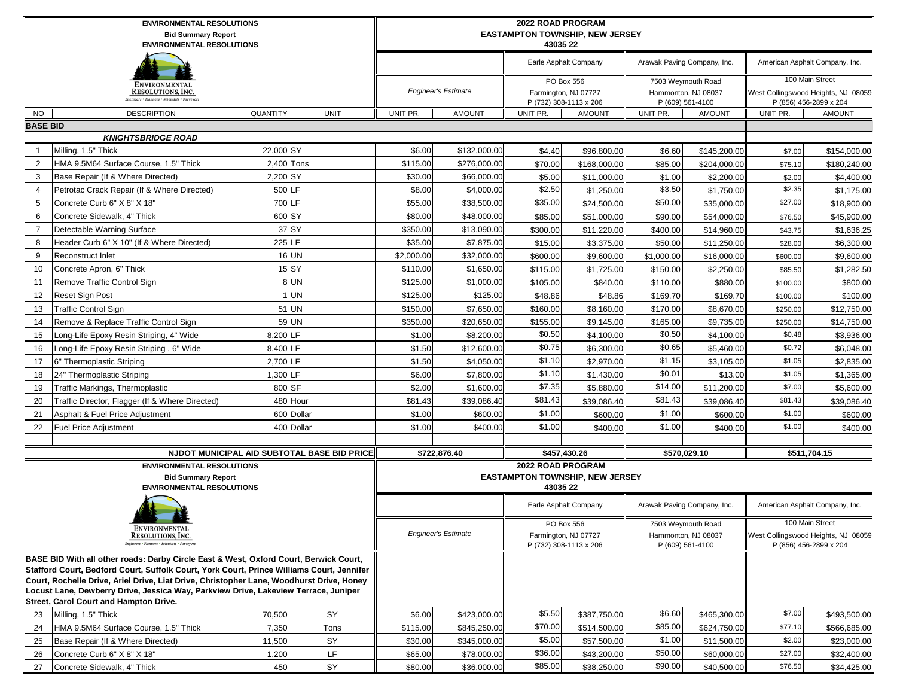|                 | <b>ENVIRONMENTAL RESOLUTIONS</b><br><b>Bid Summary Report</b><br><b>ENVIRONMENTAL RESOLUTIONS</b>                                                                                  |                 |                                             |            | 2022 ROAD PROGRAM<br>43035 22 | <b>EASTAMPTON TOWNSHIP, NEW JERSEY</b> |                                        |                                                               |                             |                                                                                  |                                                               |
|-----------------|------------------------------------------------------------------------------------------------------------------------------------------------------------------------------------|-----------------|---------------------------------------------|------------|-------------------------------|----------------------------------------|----------------------------------------|---------------------------------------------------------------|-----------------------------|----------------------------------------------------------------------------------|---------------------------------------------------------------|
|                 |                                                                                                                                                                                    |                 |                                             |            |                               |                                        | Earle Asphalt Company                  |                                                               | Arawak Paving Company, Inc. |                                                                                  | American Asphalt Company, Inc.                                |
|                 | ENVIRONMENTAL<br>Resolutions, Inc.<br>'ngineers · Planners · Scientists · Surveyor                                                                                                 |                 |                                             |            | <b>Engineer's Estimate</b>    | Farmington, NJ 07727                   | PO Box 556<br>P (732) 308-1113 x 206   | 7503 Weymouth Road<br>Hammonton, NJ 08037<br>P (609) 561-4100 |                             | 100 Main Street<br>West Collingswood Heights, NJ 08059<br>P (856) 456-2899 x 204 |                                                               |
| <b>NO</b>       | <b>DESCRIPTION</b>                                                                                                                                                                 | <b>QUANTITY</b> | <b>UNIT</b>                                 | UNIT PR.   | <b>AMOUNT</b>                 | UNIT PR.                               | <b>AMOUNT</b>                          | UNIT PR.                                                      | <b>AMOUNT</b>               | UNIT PR.                                                                         | <b>AMOUNT</b>                                                 |
| <b>BASE BID</b> |                                                                                                                                                                                    |                 |                                             |            |                               |                                        |                                        |                                                               |                             |                                                                                  |                                                               |
|                 | <b>KNIGHTSBRIDGE ROAD</b>                                                                                                                                                          |                 |                                             |            |                               |                                        |                                        |                                                               |                             |                                                                                  |                                                               |
| $\overline{1}$  | Milling, 1.5" Thick                                                                                                                                                                | 22,000 SY       |                                             | \$6.00     | \$132,000.00                  | \$4.40                                 | \$96,800.00                            | \$6.60                                                        | \$145,200.00                | \$7.00                                                                           | \$154,000.00                                                  |
| $\overline{2}$  | HMA 9.5M64 Surface Course, 1.5" Thick                                                                                                                                              |                 | 2,400 Tons                                  | \$115.00   | \$276,000.00                  | \$70.00                                | \$168,000.00                           | \$85.00                                                       | \$204,000.00                | \$75.10                                                                          | \$180,240.00                                                  |
| 3               | Base Repair (If & Where Directed)                                                                                                                                                  | 2,200 SY        |                                             | \$30.00    | \$66,000.00                   | \$5.00                                 | \$11,000.00                            | \$1.00                                                        | \$2,200.00                  | \$2.00                                                                           | \$4,400.00                                                    |
| $\overline{4}$  | Petrotac Crack Repair (If & Where Directed)                                                                                                                                        |                 | 500 LF                                      | \$8.00     | \$4,000.00                    | \$2.50                                 | \$1,250.00                             | \$3.50                                                        | \$1,750.00                  | \$2.35                                                                           | \$1,175.00                                                    |
| 5               | Concrete Curb 6" X 8" X 18"                                                                                                                                                        | 700 LF          |                                             | \$55.00    | \$38,500.00                   | \$35.00                                | \$24,500.00                            | \$50.00                                                       | \$35,000.00                 | \$27.00                                                                          | \$18,900.00                                                   |
| 6               | Concrete Sidewalk, 4" Thick                                                                                                                                                        |                 | 600 SY                                      | \$80.00    | \$48,000.00                   | \$85.00                                | \$51,000.00                            | \$90.00                                                       | \$54,000.00                 | \$76.50                                                                          | \$45,900.00                                                   |
| $\overline{7}$  | Detectable Warning Surface                                                                                                                                                         |                 | 37 SY                                       | \$350.00   | \$13,090.00                   | \$300.00                               | \$11,220.00                            | \$400.00                                                      | \$14,960.00                 | \$43.75                                                                          | \$1,636.25                                                    |
| 8               | Header Curb 6" X 10" (If & Where Directed)                                                                                                                                         |                 | 225 LF                                      | \$35.00    | \$7,875.00                    | \$15.00                                | \$3,375.00                             | \$50.00                                                       | \$11,250.00                 | \$28.00                                                                          | \$6,300.00                                                    |
| 9               | <b>Reconstruct Inlet</b>                                                                                                                                                           |                 | <b>16 UN</b>                                | \$2,000.00 | \$32,000.00                   | \$600.00                               | \$9,600.00                             | \$1,000.00                                                    | \$16,000.00                 | \$600.00                                                                         | \$9,600.00                                                    |
| 10              | Concrete Apron, 6" Thick                                                                                                                                                           |                 | $15$ $SY$                                   | \$110.00   | \$1,650.00                    | \$115.00                               | \$1,725.00                             | \$150.00                                                      | \$2,250.00                  | \$85.50                                                                          | \$1,282.50                                                    |
| 11              | Remove Traffic Control Sign                                                                                                                                                        |                 | 8 UN                                        | \$125.00   | \$1,000.00                    | \$105.00                               | \$840.00                               | \$110.00                                                      | \$880.00                    | \$100.00                                                                         | \$800.00                                                      |
| 12              | Reset Sign Post                                                                                                                                                                    |                 | $1$ UN                                      | \$125.00   | \$125.00                      | \$48.86                                | \$48.86                                | \$169.70                                                      | \$169.70                    | \$100.00                                                                         | \$100.00                                                      |
| 13              | <b>Traffic Control Sign</b>                                                                                                                                                        |                 | 51 UN                                       | \$150.00   | \$7,650.00                    | \$160.00                               | \$8,160.00                             | \$170.00                                                      | \$8,670.00                  | \$250.00                                                                         | \$12,750.00                                                   |
| 14              | Remove & Replace Traffic Control Sign                                                                                                                                              |                 | 59 UN                                       | \$350.00   | \$20,650.00                   | \$155.00                               | \$9,145.00                             | \$165.00                                                      | \$9,735.00                  | \$250.00                                                                         | \$14,750.00                                                   |
| 15              | Long-Life Epoxy Resin Striping, 4" Wide                                                                                                                                            | 8,200 LF        |                                             | \$1.00     | \$8,200.00                    | \$0.50                                 | \$4,100.00                             | \$0.50                                                        | \$4,100.00                  | \$0.48                                                                           | \$3,936.00                                                    |
| 16              | Long-Life Epoxy Resin Striping, 6" Wide                                                                                                                                            | 8,400 LF        |                                             | \$1.50     | \$12,600.00                   | \$0.75                                 | \$6,300.00                             | \$0.65                                                        | \$5,460.00                  | \$0.72                                                                           | \$6,048.00                                                    |
| 17              | 6" Thermoplastic Striping                                                                                                                                                          | 2,700 LF        |                                             | \$1.50     | \$4,050.00                    | \$1.10                                 | \$2,970.00                             | \$1.15                                                        | \$3,105.00                  | \$1.05                                                                           | \$2,835.00                                                    |
| 18              | 24" Thermoplastic Striping                                                                                                                                                         | 1,300 LF        |                                             | \$6.00     | \$7,800.00                    | \$1.10                                 | \$1,430.00                             | \$0.01                                                        | \$13.00                     | \$1.05                                                                           | \$1,365.00                                                    |
| 19              | Traffic Markings, Thermoplastic                                                                                                                                                    |                 | 800 SF                                      | \$2.00     | \$1,600.00                    | \$7.35                                 | \$5,880.00                             | \$14.00                                                       | \$11,200.00                 | \$7.00                                                                           | \$5,600.00                                                    |
| 20              | Traffic Director, Flagger (If & Where Directed)                                                                                                                                    |                 | 480 Hour                                    | \$81.43    | \$39,086.40                   | \$81.43                                | \$39,086.40                            | \$81.43                                                       | \$39,086.40                 | \$81.43                                                                          | \$39,086.40                                                   |
| 21              | Asphalt & Fuel Price Adjustment                                                                                                                                                    |                 | 600 Dollar                                  | \$1.00     | \$600.00                      | \$1.00                                 | \$600.00                               | \$1.00                                                        | \$600.00                    | \$1.00                                                                           | \$600.00                                                      |
| 22              | <b>Fuel Price Adjustment</b>                                                                                                                                                       |                 | 400 Dollar                                  | \$1.00     | \$400.00                      | \$1.00                                 | \$400.00                               | \$1.00                                                        | \$400.00                    | \$1.00                                                                           | \$400.00                                                      |
|                 |                                                                                                                                                                                    |                 |                                             |            |                               |                                        |                                        |                                                               |                             |                                                                                  |                                                               |
|                 |                                                                                                                                                                                    |                 | NJDOT MUNICIPAL AID SUBTOTAL BASE BID PRICE |            | \$722,876.40                  | \$457,430.26                           |                                        |                                                               | \$570.029.10                |                                                                                  | \$511,704.15                                                  |
|                 | <b>ENVIRONMENTAL RESOLUTIONS</b>                                                                                                                                                   |                 |                                             |            |                               | <b>2022 ROAD PROGRAM</b>               |                                        |                                                               |                             |                                                                                  |                                                               |
|                 | <b>Bid Summary Report</b><br><b>ENVIRONMENTAL RESOLUTIONS</b>                                                                                                                      |                 |                                             |            |                               | 43035 22                               | <b>EASTAMPTON TOWNSHIP, NEW JERSEY</b> |                                                               |                             |                                                                                  |                                                               |
|                 |                                                                                                                                                                                    |                 |                                             |            |                               | Earle Asphalt Company                  |                                        |                                                               | Arawak Paving Company, Inc. |                                                                                  | American Asphalt Company, Inc.                                |
|                 | ENVIRONMENTAL                                                                                                                                                                      |                 |                                             |            |                               | PO Box 556                             |                                        |                                                               | 7503 Weymouth Road          |                                                                                  | <b>100 Main Street</b>                                        |
|                 | RESOLUTIONS, INC.                                                                                                                                                                  |                 |                                             |            | <b>Engineer's Estimate</b>    |                                        | Farmington, NJ 07727                   |                                                               | Hammonton, NJ 08037         |                                                                                  | West Collingswood Heights, NJ 08059<br>P (856) 456-2899 x 204 |
|                 |                                                                                                                                                                                    |                 |                                             |            |                               |                                        | P (732) 308-1113 x 206                 |                                                               | P (609) 561-4100            |                                                                                  |                                                               |
|                 | BASE BID With all other roads: Darby Circle East & West, Oxford Court, Berwick Court,<br>Stafford Court, Bedford Court, Suffolk Court, York Court, Prince Williams Court, Jennifer |                 |                                             |            |                               |                                        |                                        |                                                               |                             |                                                                                  |                                                               |
|                 | Court, Rochelle Drive, Ariel Drive, Liat Drive, Christopher Lane, Woodhurst Drive, Honey                                                                                           |                 |                                             |            |                               |                                        |                                        |                                                               |                             |                                                                                  |                                                               |
|                 | Locust Lane, Dewberry Drive, Jessica Way, Parkview Drive, Lakeview Terrace, Juniper                                                                                                |                 |                                             |            |                               |                                        |                                        |                                                               |                             |                                                                                  |                                                               |
|                 | Street, Carol Court and Hampton Drive.                                                                                                                                             |                 |                                             |            |                               |                                        |                                        |                                                               |                             |                                                                                  |                                                               |
| 23              | Milling, 1.5" Thick                                                                                                                                                                | 70,500          | SY                                          | \$6.00     | \$423,000.00                  | \$5.50                                 | \$387,750.00                           | \$6.60                                                        | \$465,300.00                | \$7.00                                                                           | \$493,500.00                                                  |
| 24              | HMA 9.5M64 Surface Course, 1.5" Thick                                                                                                                                              | 7,350           | Tons                                        | \$115.00   | \$845,250.00                  | \$70.00                                | \$514,500.00                           | \$85.00                                                       | \$624,750.00                | \$77.10                                                                          | \$566,685.00                                                  |
| 25              | Base Repair (If & Where Directed)                                                                                                                                                  | 11,500          | SY                                          | \$30.00    | \$345,000.00                  | \$5.00                                 | \$57,500.00                            | \$1.00                                                        | \$11,500.00                 | \$2.00                                                                           | \$23,000.00                                                   |
| 26              | Concrete Curb 6" X 8" X 18"                                                                                                                                                        | 1,200           | LF                                          | \$65.00    | \$78,000.00                   | \$36.00                                | \$43,200.00                            | \$50.00                                                       | \$60,000.00                 | \$27.00                                                                          | \$32,400.00                                                   |
| 27              | Concrete Sidewalk, 4" Thick                                                                                                                                                        | 450             | SY                                          | \$80.00    | \$36,000.00                   | \$85.00                                | \$38,250.00                            | \$90.00                                                       | \$40,500.00                 | \$76.50                                                                          | \$34,425.00                                                   |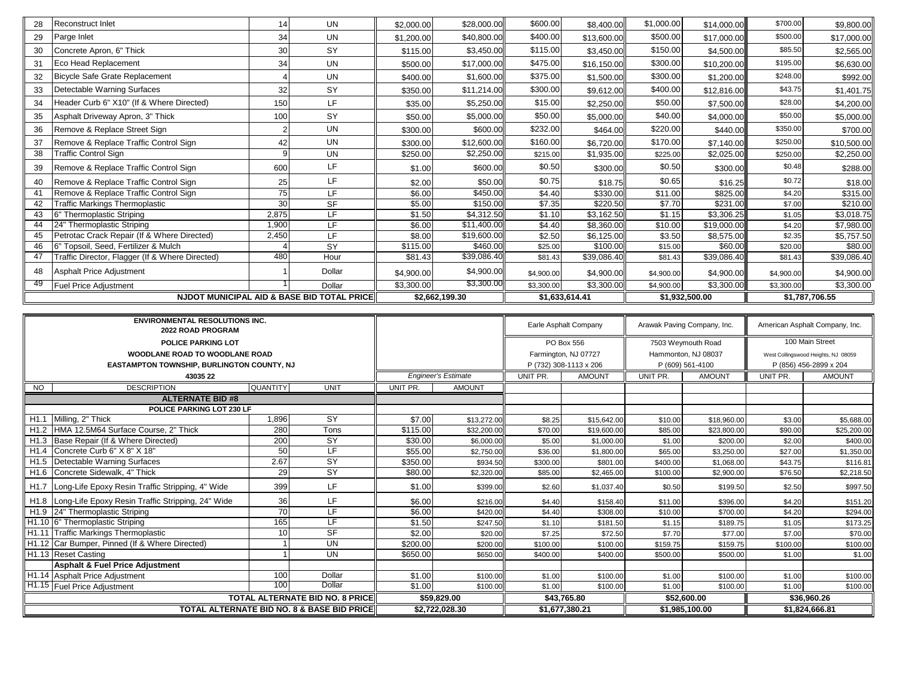| 28 | Reconstruct Inlet                               | 14    | <b>UN</b>                                             | \$2,000.00 | \$28,000.00    | \$600.00       | \$8,400.00  | \$1,000.00 | \$14,000.00    | \$700.00   | \$9,800.00     |
|----|-------------------------------------------------|-------|-------------------------------------------------------|------------|----------------|----------------|-------------|------------|----------------|------------|----------------|
| 29 | Parge Inlet                                     | 34    | <b>UN</b>                                             | \$1,200.00 | \$40,800.00    | \$400.00       | \$13,600.00 | \$500.00   | \$17,000.00    | \$500.00   | \$17,000.00    |
| 30 | Concrete Apron, 6" Thick                        | 30    | SY                                                    | \$115.00   | \$3,450.00     | \$115.00       | \$3,450.00  | \$150.00   | \$4,500.00     | \$85.50    | \$2,565.00     |
| 31 | Eco Head Replacement                            | 34    | <b>UN</b>                                             | \$500.00   | \$17,000.00    | \$475.00       | \$16,150.00 | \$300.00   | \$10,200.00    | \$195.00   | \$6,630.00     |
| 32 | Bicycle Safe Grate Replacement                  |       | <b>UN</b>                                             | \$400.00   | \$1,600.00     | \$375.00       | \$1,500.00  | \$300.00   | \$1,200.00     | \$248.00   | \$992.00       |
| 33 | Detectable Warning Surfaces                     | 32    | SY                                                    | \$350.00   | \$11,214.00    | \$300.00       | \$9,612.00  | \$400.00   | \$12,816.00    | \$43.75    | \$1,401.75     |
| 34 | Header Curb 6" X10" (If & Where Directed)       | 150   | LF                                                    | \$35.00    | \$5,250.00     | \$15.00        | \$2,250.00  | \$50.00    | \$7,500.00     | \$28.00    | \$4,200.00     |
| 35 | Asphalt Driveway Apron, 3" Thick                | 100   | SY                                                    | \$50.00    | \$5,000.00     | \$50.00        | \$5,000.00  | \$40.00    | \$4,000.00     | \$50.00    | \$5,000.00     |
| 36 | Remove & Replace Street Sign                    |       | <b>UN</b>                                             | \$300.00   | \$600.00       | \$232.00       | \$464.00    | \$220.00   | \$440.00       | \$350.00   | \$700.00       |
| 37 | Remove & Replace Traffic Control Sign           | 42    | <b>UN</b>                                             | \$300.00   | \$12,600.00    | \$160.00       | \$6,720.00  | \$170.00   | \$7,140.00     | \$250.00   | \$10,500.00    |
| 38 | <b>Traffic Control Sign</b>                     |       | <b>UN</b>                                             | \$250.00   | \$2,250.00     | \$215.00       | \$1,935.00  | \$225.00   | \$2,025.00     | \$250.00   | \$2,250.00     |
| 39 | Remove & Replace Traffic Control Sign           | 600   | LF                                                    | \$1.00     | \$600.00       | \$0.50         | \$300.00    | \$0.50     | \$300.00       | \$0.48     | \$288.00       |
| 40 | Remove & Replace Traffic Control Sign           | 25    | LF                                                    | \$2.00     | \$50.00        | \$0.75         | \$18.75     | \$0.65     | \$16.25        | \$0.72     | \$18.00        |
| 41 | Remove & Replace Traffic Control Sign           | 75    | LF.                                                   | \$6.00     | \$450.00       | \$4.40         | \$330.00    | \$11.00    | \$825.00       | \$4.20     | \$315.00       |
| 42 | <b>Traffic Markings Thermoplastic</b>           | 30    | <b>SF</b>                                             | \$5.00     | \$150.00       | \$7.35         | \$220.50    | \$7.70     | \$231.00       | \$7.00     | \$210.00       |
| 43 | 6" Thermoplastic Striping                       | 2,875 | LF.                                                   | \$1.50     | \$4,312.50     | \$1.10         | \$3,162.50  | \$1.15     | \$3,306.25     | \$1.05     | \$3,018.75     |
| 44 | 24" Thermoplastic Striping                      | 1,900 | LF                                                    | \$6.00     | \$11,400.00    | \$4.40         | \$8,360.00  | \$10.00    | \$19,000.00    | \$4.20     | \$7,980.00     |
| 45 | Petrotac Crack Repair (If & Where Directed)     | 2,450 | LF.                                                   | \$8.00     | \$19,600.00    | \$2.50         | \$6,125.00  | \$3.50     | \$8,575.00     | \$2.35     | \$5,757.50     |
| 46 | 6" Topsoil, Seed, Fertilizer & Mulch            |       | SY                                                    | \$115.00   | \$460.00       | \$25.00        | \$100.00    | \$15.00    | \$60.00        | \$20.00    | \$80.00        |
| 47 | Traffic Director, Flagger (If & Where Directed) | 480   | Hour                                                  | \$81.43    | \$39,086.40    | \$81.43        | \$39,086.40 | \$81.43    | \$39,086.40    | \$81.43    | \$39,086.40    |
| 48 | Asphalt Price Adjustment                        |       | Dollar                                                | \$4,900.00 | \$4,900.00     | \$4,900.00     | \$4,900.00  | \$4,900.00 | \$4,900.00     | \$4,900.00 | \$4,900.00     |
| 49 | <b>Fuel Price Adjustment</b>                    |       | Dollar                                                | \$3,300.00 | \$3,300.00     | \$3,300.00     | \$3,300.00  | \$4,900.00 | \$3,300.00     | \$3,300.00 | \$3,300.00     |
|    |                                                 |       | <b>NJDOT MUNICIPAL AID &amp; BASE BID TOTAL PRICE</b> |            | \$2,662,199.30 | \$1,633,614.41 |             |            | \$1,932,500.00 |            | \$1,787,706.55 |

| <b>2022 ROAD PROGRAM</b>                                              | <b>ENVIRONMENTAL RESOLUTIONS INC.</b>                 |                          |                            |               |                        | Earle Asphalt Company | Arawak Paving Company, Inc. |                    | American Asphalt Company, Inc.      |                 |
|-----------------------------------------------------------------------|-------------------------------------------------------|--------------------------|----------------------------|---------------|------------------------|-----------------------|-----------------------------|--------------------|-------------------------------------|-----------------|
| <b>POLICE PARKING LOT</b>                                             |                                                       |                          |                            |               |                        | PO Box 556            |                             | 7503 Weymouth Road |                                     | 100 Main Street |
| WOODLANE ROAD TO WOODLANE ROAD                                        |                                                       |                          |                            |               |                        | Farmington, NJ 07727  | Hammonton, NJ 08037         |                    | West Collingswood Heights, NJ 08059 |                 |
| EASTAMPTON TOWNSHIP, BURLINGTON COUNTY, NJ                            |                                                       |                          |                            |               | P (732) 308-1113 x 206 |                       | P (609) 561-4100            |                    | P (856) 456-2899 x 204              |                 |
| 43035 22                                                              |                                                       |                          | <b>Engineer's Estimate</b> |               | UNIT PR.               | <b>AMOUNT</b>         | UNIT PR.                    | <b>AMOUNT</b>      | UNIT PR.                            | <b>AMOUNT</b>   |
| <b>DESCRIPTION</b><br><b>NO</b>                                       | <b>QUANTITY</b>                                       | <b>UNIT</b>              | UNIT PR.                   | <b>AMOUNT</b> |                        |                       |                             |                    |                                     |                 |
| <b>ALTERNATE BID #8</b>                                               |                                                       |                          |                            |               |                        |                       |                             |                    |                                     |                 |
| POLICE PARKING LOT 230 LF                                             |                                                       |                          |                            |               |                        |                       |                             |                    |                                     |                 |
| Milling, 2" Thick<br>H <sub>1.1</sub>                                 | 1,896                                                 | <b>SY</b>                | \$7.00                     | \$13,272.00   | \$8.25                 | \$15,642.00           | \$10.00                     | \$18,960.00        | \$3.00                              | \$5,688.00      |
| HMA 12.5M64 Surface Course, 2" Thick<br>H1.2                          | 280                                                   | Tons                     | \$115.00                   | \$32,200.00   | \$70.00                | \$19,600.00           | \$85.00                     | \$23,800.00        | \$90.00                             | \$25,200.00     |
| Base Repair (If & Where Directed)<br>H <sub>1.3</sub>                 | 200                                                   | $\overline{SY}$          | \$30.00                    | \$6,000.00    | \$5.00                 | \$1,000.00            | \$1.00                      | \$200.00           | \$2.00                              | \$400.00        |
| Concrete Curb 6" X 8" X 18"<br>H <sub>1.4</sub>                       | 50                                                    | LF.                      | \$55.00                    | \$2,750.00    | \$36.00                | \$1,800.00            | \$65.00                     | \$3,250.00         | \$27.00                             | \$1,350.00      |
| Detectable Warning Surfaces<br>H <sub>1.5</sub>                       | 2.67                                                  | $\overline{SY}$          | \$350.00                   | \$934.50      | \$300.00               | \$801.00              | \$400.00                    | \$1,068.00         | \$43.75                             | \$116.81        |
| Concrete Sidewalk, 4" Thick<br>H <sub>1.6</sub>                       | 29                                                    | $\overline{\mathsf{SY}}$ | \$80.00                    | \$2,320.00    | \$85.00                | \$2,465.00            | \$100.00                    | \$2,900.00         | \$76.50                             | \$2,218.50      |
| H <sub>1.7</sub><br>Long-Life Epoxy Resin Traffic Stripping, 4" Wide  | 399                                                   | LF.                      | \$1.00                     | \$399.00      | \$2.60                 | \$1,037.40            | \$0.50                      | \$199.50           | \$2.50                              | \$997.50        |
| Long-Life Epoxy Resin Traffic Stripping, 24" Wide<br>H <sub>1.8</sub> | 36                                                    | LF.                      | \$6.00                     | \$216.00      | \$4.40                 | \$158.40              | \$11.00                     | \$396.00           | \$4.20                              | \$151.20        |
| H <sub>1.9</sub> 24" Thermoplastic Striping                           | 70                                                    | TE.                      | \$6.00                     | \$420.00      | \$4.40                 | \$308.00              | \$10.00                     | \$700.00           | \$4.20                              | \$294.00        |
| H1.10 6" Thermoplastic Striping                                       | 165                                                   | ΤE                       | \$1.50                     | \$247.50      | \$1.10                 | \$181.50              | \$1.15                      | \$189.75           | \$1.05                              | \$173.25        |
| H1.11 Traffic Markings Thermoplastic                                  | 10                                                    | $S_{\text{F}}$           | \$2.00                     | \$20.00       | \$7.25                 | \$72.50               | \$7.70                      | \$77.00            | \$7.00                              | \$70.00         |
| Car Bumper, Pinned (If & Where Directed)<br>H <sub>1.12</sub>         |                                                       | <b>UN</b>                | \$200.00                   | \$200.00      | \$100.00               | \$100.00              | \$159.75                    | \$159.75           | \$100.00                            | \$100.00        |
| H <sub>1.13</sub> Reset Casting                                       |                                                       | <b>UN</b>                | \$650.00                   | \$650.00      | \$400.00               | \$400.00              | \$500.00                    | \$500.00           | \$1.00                              | \$1.00          |
| <b>Asphalt &amp; Fuel Price Adjustment</b>                            |                                                       |                          |                            |               |                        |                       |                             |                    |                                     |                 |
| H1.14 Asphalt Price Adjustment                                        | Dollar                                                | \$1.00<br>\$1.00         | \$100.00                   | \$1.00        | \$100.00               | \$1.00                | \$100.00                    | \$1.00             | \$100.00                            |                 |
| <b>H1.15</b> Fuel Price Adjustment                                    | 100<br>Dollar                                         |                          |                            |               | \$1.00                 | \$100.00              | \$1.00                      | \$100.00           | \$1.00                              | \$100.00        |
| <b>TOTAL ALTERNATE BID NO. 8 PRICE</b>                                |                                                       | \$59,829.00              | \$43,765.80                |               | \$52,600.00            |                       | \$36,960.26                 |                    |                                     |                 |
|                                                                       | <b>TOTAL ALTERNATE BID NO. 8 &amp; BASE BID PRICE</b> |                          |                            |               |                        | \$1,677,380.21        |                             | \$1.985.100.00     |                                     | \$1.824.666.81  |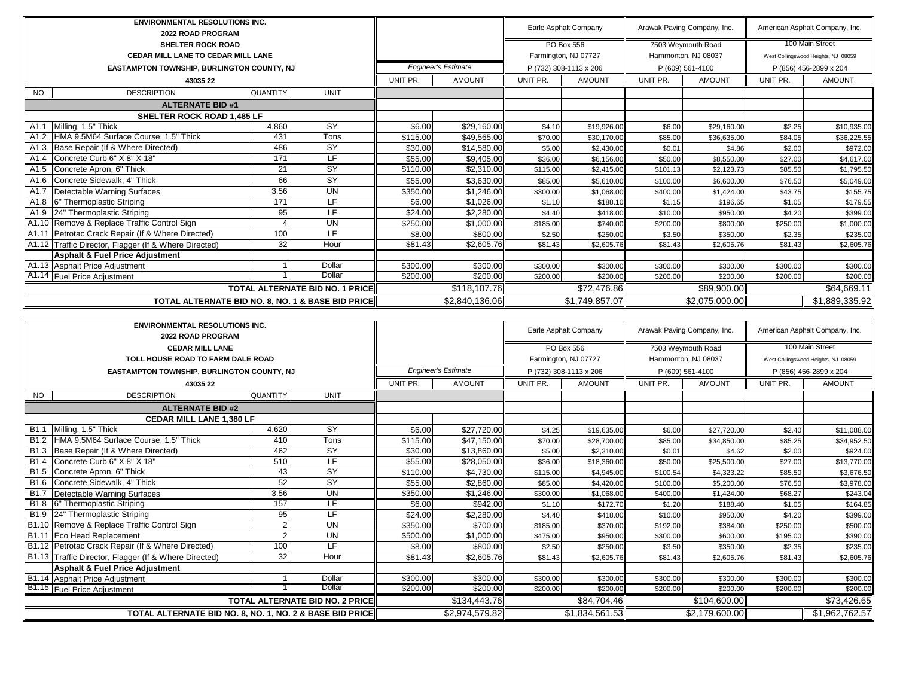|                            | <b>ENVIRONMENTAL RESOLUTIONS INC.</b><br>2022 ROAD PROGRAM |                 |                          |                            |                |                        | Earle Asphalt Company |                     | Arawak Paving Company, Inc. | American Asphalt Company, Inc.      |                 |
|----------------------------|------------------------------------------------------------|-----------------|--------------------------|----------------------------|----------------|------------------------|-----------------------|---------------------|-----------------------------|-------------------------------------|-----------------|
|                            | <b>SHELTER ROCK ROAD</b>                                   |                 |                          |                            |                |                        | PO Box 556            |                     | 7503 Weymouth Road          |                                     | 100 Main Street |
|                            | <b>CEDAR MILL LANE TO CEDAR MILL LANE</b>                  |                 |                          |                            |                | Farmington, NJ 07727   |                       | Hammonton, NJ 08037 |                             | West Collingswood Heights, NJ 08059 |                 |
|                            | <b>EASTAMPTON TOWNSHIP, BURLINGTON COUNTY, NJ</b>          |                 |                          | <b>Engineer's Estimate</b> |                | P (732) 308-1113 x 206 |                       | P (609) 561-4100    |                             | P (856) 456-2899 x 204              |                 |
|                            | 43035 22                                                   |                 |                          | UNIT PR.                   | <b>AMOUNT</b>  | UNIT PR.               | <b>AMOUNT</b>         | UNIT PR.            | <b>AMOUNT</b>               | UNIT PR.                            | <b>AMOUNT</b>   |
| NO.                        | <b>DESCRIPTION</b>                                         | <b>QUANTITY</b> | <b>UNIT</b>              |                            |                |                        |                       |                     |                             |                                     |                 |
|                            | <b>ALTERNATE BID #1</b>                                    |                 |                          |                            |                |                        |                       |                     |                             |                                     |                 |
| SHELTER ROCK ROAD 1,485 LF |                                                            |                 |                          |                            |                |                        |                       |                     |                             |                                     |                 |
| A1.1                       | Milling, 1.5" Thick                                        | 4,860           | $\overline{\mathsf{SY}}$ | \$6.00                     | \$29,160.00    | \$4.10                 | \$19.926.00           | \$6.00              | \$29,160.00                 | \$2.25                              | \$10,935.00     |
| A1.2                       | HMA 9.5M64 Surface Course, 1.5" Thick                      | 431             | Tons                     | \$115.00                   | \$49,565.00    | \$70.00                | \$30.170.00           | \$85.00             | \$36,635.00                 | \$84.05                             | \$36,225.55     |
| A1.3                       | Base Repair (If & Where Directed)                          | 486             | <b>SY</b>                | \$30.00                    | \$14,580.00    | \$5.00                 | \$2,430.00            | \$0.01              | \$4.86                      | \$2.00                              | \$972.00        |
| A <sub>1.4</sub>           | Concrete Curb 6" X 8" X 18"                                | 171             | $\overline{\mathsf{LF}}$ | \$55.00                    | \$9,405.00     | \$36.00                | \$6,156.00            | \$50.00             | \$8,550.00                  | \$27.00                             | \$4,617.00      |
| A1.5                       | Concrete Apron, 6" Thick                                   | 21              | $\overline{\mathsf{SY}}$ | \$110.00                   | \$2,310.00     | \$115.00               | \$2,415.00            | \$101.13            | \$2,123.73                  | \$85.50                             | \$1,795.50      |
| A1.6                       | Concrete Sidewalk, 4" Thick                                | 66              | SY                       | \$55.00                    | \$3,630.00     | \$85.00                | \$5,610.00            | \$100.00            | \$6,600.00                  | \$76.50                             | \$5,049.00      |
| A1.7                       | Detectable Warning Surfaces                                | 3.56            | <b>UN</b>                | \$350.00                   | \$1,246.00     | \$300.00               | \$1,068.00            | \$400.00            | \$1,424.00                  | \$43.75                             | \$155.75        |
| A1.8                       | 6" Thermoplastic Striping                                  | 171             | LF.                      | \$6.00                     | \$1,026.00     | \$1.10                 | \$188.10              | \$1.15              | \$196.65                    | \$1.05                              | \$179.55        |
| A1.9                       | 24" Thermoplastic Striping                                 | 95              | ΙF                       | \$24.00                    | \$2,280.00     | \$4.40                 | \$418.00              | \$10.00             | \$950.00                    | \$4.20                              | \$399.00        |
|                            | A1.10 Remove & Replace Traffic Control Sign                |                 | <b>UN</b>                | \$250.00                   | \$1,000.00     | \$185.00               | \$740.00              | \$200.00            | \$800.00                    | \$250.00                            | \$1,000.00      |
| A1.11                      | Petrotac Crack Repair (If & Where Directed)                | 100             | LF                       | \$8.00                     | \$800.00       | \$2.50                 | \$250.00              | \$3.50              | \$350.00                    | \$2.35                              | \$235.00        |
|                            | A1.12 Traffic Director, Flagger (If & Where Directed)      | 32              | Hour                     | \$81.43                    | \$2,605.76     | \$81.43                | \$2,605.76            | \$81.43             | \$2,605.76                  | \$81.43                             | \$2,605.76      |
|                            | <b>Asphalt &amp; Fuel Price Adjustment</b>                 |                 |                          |                            |                |                        |                       |                     |                             |                                     |                 |
|                            | A1.13 Asphalt Price Adjustment                             |                 | Dollar                   | \$300.00                   | \$300.00       | \$300.00               | \$300.00              | \$300.00            | \$300.00                    | \$300.00                            | \$300.00        |
| A1.14                      | <b>Fuel Price Adjustment</b>                               |                 | Dollar                   | \$200.00                   | \$200.00       | \$200.00               | \$200.00              | \$200.00            | \$200.00                    | \$200.00                            | \$200.00        |
|                            | <b>TOTAL ALTERNATE BID NO. 1 PRICE</b>                     |                 |                          |                            | \$118,107.76   |                        | \$72,476.86           | \$89,900.00         |                             | \$64,669.11                         |                 |
|                            | TOTAL ALTERNATE BID NO. 8, NO. 1 & BASE BID PRICE          |                 |                          |                            | \$2,840,136.06 |                        | \$1,749,857.07        |                     | \$2,075,000.00              |                                     | \$1,889,335.92  |

|                  | <b>ENVIRONMENTAL RESOLUTIONS INC.</b><br><b>2022 ROAD PROGRAM</b> |                 |             |          |                            |                      | Earle Asphalt Company      |                     | Arawak Paving Company, Inc. | American Asphalt Company, Inc.      |                |
|------------------|-------------------------------------------------------------------|-----------------|-------------|----------|----------------------------|----------------------|----------------------------|---------------------|-----------------------------|-------------------------------------|----------------|
|                  |                                                                   |                 |             |          |                            |                      |                            |                     |                             |                                     |                |
|                  | <b>CEDAR MILL LANE</b>                                            |                 |             |          |                            |                      | PO Box 556                 |                     | 7503 Weymouth Road          | 100 Main Street                     |                |
|                  | TOLL HOUSE ROAD TO FARM DALE ROAD                                 |                 |             |          |                            | Farmington, NJ 07727 |                            | Hammonton, NJ 08037 |                             | West Collingswood Heights, NJ 08059 |                |
|                  | EASTAMPTON TOWNSHIP, BURLINGTON COUNTY, NJ                        |                 |             |          | <b>Engineer's Estimate</b> |                      | P (732) 308-1113 x 206     |                     | P (609) 561-4100            | P (856) 456-2899 x 204              |                |
|                  | 43035 22                                                          |                 |             | UNIT PR. | <b>AMOUNT</b>              | UNIT PR.             | <b>AMOUNT</b>              | UNIT PR.            | <b>AMOUNT</b>               | UNIT PR.                            | <b>AMOUNT</b>  |
| <b>NO</b>        | <b>DESCRIPTION</b>                                                | <b>QUANTITY</b> | <b>UNIT</b> |          |                            |                      |                            |                     |                             |                                     |                |
|                  | <b>ALTERNATE BID #2</b>                                           |                 |             |          |                            |                      |                            |                     |                             |                                     |                |
|                  | <b>CEDAR MILL LANE 1,380 LF</b>                                   |                 |             |          |                            |                      |                            |                     |                             |                                     |                |
| <b>B1.1</b>      | Milling, 1.5" Thick                                               | 4,620           | <b>SY</b>   | \$6.00   | \$27,720.00                | \$4.25               | \$19,635.00                | \$6.00              | \$27,720.00                 | \$2.40                              | \$11,088.00    |
| B <sub>1.2</sub> | HMA 9.5M64 Surface Course, 1.5" Thick                             | 410             | Tons        | \$115.00 | \$47,150.00                | \$70.00              | \$28,700.00                | \$85.00             | \$34,850.00                 | \$85.25                             | \$34,952.50    |
| <b>B1.3</b>      | Base Repair (If & Where Directed)                                 | 462             | SY          | \$30.00  | \$13,860.00                | \$5.00               | \$2,310.00                 | \$0.01              | \$4.62                      | \$2.00                              | \$924.00       |
| <b>B1.4</b>      | Concrete Curb 6" X 8" X 18"                                       | 510             | LF.         | \$55.00  | \$28,050.00                | \$36.00              | \$18,360.00                | \$50.00             | \$25,500.00                 | \$27.00                             | \$13,770.00    |
| B1.5             | Concrete Apron, 6" Thick                                          | 43              | SY          | \$110.00 | \$4,730.00                 | \$115.00             | \$4,945.00                 | \$100.54            | \$4,323.22                  | \$85.50                             | \$3,676.50     |
| B1.6             | Concrete Sidewalk, 4" Thick                                       | 52              | SY          | \$55.00  | \$2,860.00                 | \$85.00              | \$4,420.00                 | \$100.00            | \$5,200.00                  | \$76.50                             | \$3,978.00     |
| <b>B1.7</b>      | Detectable Warning Surfaces                                       | 3.56            | <b>UN</b>   | \$350.00 | \$1,246.00                 | \$300.00             | \$1,068.00                 | \$400.00            | \$1,424.00                  | \$68.27                             | \$243.04       |
| B1.8             | 6" Thermoplastic Striping                                         | 157             | LF          | \$6.00   | \$942.00                   | \$1.10               | \$172.70                   | \$1.20              | \$188.40                    | \$1.05                              | \$164.85       |
| B1.9             | 24" Thermoplastic Striping                                        | 95              | LF          | \$24.00  | \$2,280.00                 | \$4.40               | \$418.00                   | \$10.00             | \$950.00                    | \$4.20                              | \$399.00       |
|                  | B1.10 Remove & Replace Traffic Control Sign                       |                 | <b>UN</b>   | \$350.00 | \$700.00                   | \$185.00             | \$370.00                   | \$192.00            | \$384.00                    | \$250.00                            | \$500.00       |
| <b>B1.11</b>     | Eco Head Replacement                                              |                 | <b>UN</b>   | \$500.00 | \$1,000.00                 | \$475.00             | \$950.00                   | \$300.00            | \$600.00                    | \$195.00                            | \$390.00       |
|                  | B1.12 Petrotac Crack Repair (If & Where Directed)                 | 100             | LF          | \$8.00   | \$800.00                   | \$2.50               | \$250.00                   | \$3.50              | \$350.00                    | \$2.35                              | \$235.00       |
|                  | B1.13 Traffic Director, Flagger (If & Where Directed)             | 32              | Hour        | \$81.43  | \$2,605.76                 | \$81.43              | \$2,605.76                 | \$81.43             | \$2,605.76                  | \$81.43                             | \$2,605.76     |
|                  | <b>Asphalt &amp; Fuel Price Adjustment</b>                        |                 |             |          |                            |                      |                            |                     |                             |                                     |                |
|                  | <b>B1.14 Asphalt Price Adjustment</b>                             |                 | Dollar      | \$300.00 | \$300.00                   | \$300.00             | \$300.00                   | \$300.00            | \$300.00                    | \$300.00                            | \$300.00       |
|                  | <b>B1.15</b> Fuel Price Adjustment                                |                 | Dollar      | \$200.00 | \$200.00                   | \$200.00             | \$200.00                   | \$200.00            | \$200.00                    | \$200.00                            | \$200.00       |
|                  | <b>TOTAL ALTERNATE BID NO. 2 PRICE</b>                            |                 |             |          | \$134,443.76               |                      | \$84,704.46                | \$104,600.00        |                             | \$73,426.65                         |                |
|                  | TOTAL ALTERNATE BID NO. 8, NO. 1, NO. 2 & BASE BID PRICE          |                 |             |          | \$2,974,579.82             |                      | $\overline{31,834,561.53}$ |                     | $\overline{$2,179,600.00}$  |                                     | \$1,962,762.57 |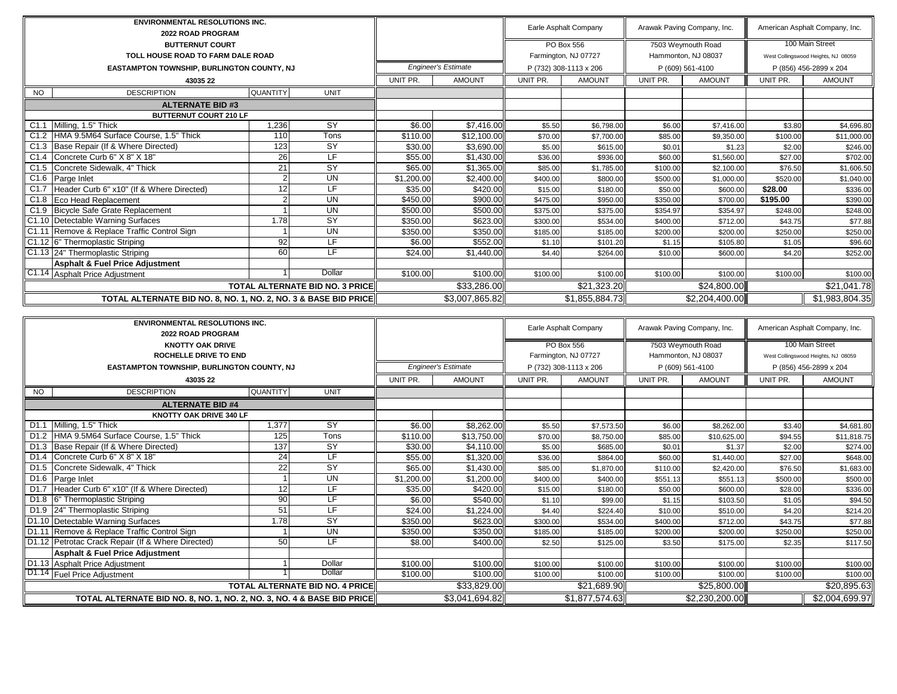| <b>ENVIRONMENTAL RESOLUTIONS INC.</b><br>2022 ROAD PROGRAM      |                 |                                        |                            |                |                      | Earle Asphalt Company  | Arawak Paving Company, Inc.               |                  | American Asphalt Company, Inc.      |                        |
|-----------------------------------------------------------------|-----------------|----------------------------------------|----------------------------|----------------|----------------------|------------------------|-------------------------------------------|------------------|-------------------------------------|------------------------|
| <b>BUTTERNUT COURT</b>                                          |                 |                                        |                            |                |                      | PO Box 556             |                                           |                  |                                     | 100 Main Street        |
| TOLL HOUSE ROAD TO FARM DALE ROAD                               |                 |                                        |                            |                | Farmington, NJ 07727 |                        | 7503 Weymouth Road<br>Hammonton, NJ 08037 |                  | West Collingswood Heights, NJ 08059 |                        |
|                                                                 |                 |                                        | <b>Engineer's Estimate</b> |                |                      |                        |                                           |                  |                                     |                        |
| EASTAMPTON TOWNSHIP, BURLINGTON COUNTY, NJ                      |                 |                                        |                            |                |                      | P (732) 308-1113 x 206 |                                           | P (609) 561-4100 |                                     | P (856) 456-2899 x 204 |
| 43035 22                                                        |                 |                                        | UNIT PR.                   | <b>AMOUNT</b>  | UNIT PR.             | <b>AMOUNT</b>          | UNIT PR.                                  | <b>AMOUNT</b>    | UNIT PR.                            | <b>AMOUNT</b>          |
| <b>NO</b><br><b>DESCRIPTION</b>                                 | <b>QUANTITY</b> | <b>UNIT</b>                            |                            |                |                      |                        |                                           |                  |                                     |                        |
| <b>ALTERNATE BID#3</b>                                          |                 |                                        |                            |                |                      |                        |                                           |                  |                                     |                        |
| <b>BUTTERNUT COURT 210 LF</b>                                   |                 |                                        |                            |                |                      |                        |                                           |                  |                                     |                        |
| Milling, 1.5" Thick<br>C1.1                                     | 1,236           | $\overline{SY}$                        | \$6.00                     | \$7,416.00     | \$5.50               | \$6,798.00             | \$6.00                                    | \$7,416.00       | \$3.80                              | \$4,696.80             |
| C1.2 HMA 9.5M64 Surface Course, 1.5" Thick                      | 110             | Tons                                   | \$110.00                   | \$12,100.00    | \$70.00              | \$7,700.00             | \$85.00                                   | \$9,350.00       | \$100.00                            | \$11,000.00            |
| C1.3 Base Repair (If & Where Directed)                          | 123             | SY                                     | \$30.00                    | \$3,690.00     | \$5.00               | \$615.00               | \$0.01                                    | \$1.23           | \$2.00                              | \$246.00               |
| Concrete Curb 6" X 8" X 18"<br>C1.4                             | 26              | ΙF                                     | \$55.00                    | \$1,430.00     | \$36.00              | \$936.00               | \$60.00                                   | \$1,560.00       | \$27.00                             | \$702.00               |
| C1.5 Concrete Sidewalk, 4" Thick                                | 21              | SY                                     | \$65.00                    | \$1,365.00     | \$85.00              | \$1,785.00             | \$100.00                                  | \$2,100.00       | \$76.50                             | \$1,606.50             |
| C1.6 Parge Inlet                                                |                 | <b>UN</b>                              | \$1,200.00                 | \$2,400.00     | \$400.00             | \$800.00               | \$500.00                                  | \$1,000.00       | \$520.00                            | \$1,040.00             |
| C1.7 Header Curb 6" x10" (If & Where Directed)                  | 12              | LF.                                    | \$35.00                    | \$420.00       | \$15.00              | \$180.00               | \$50.00                                   | \$600.00         | \$28.00                             | \$336.00               |
| C1.8 Eco Head Replacement                                       |                 | <b>UN</b>                              | \$450.00                   | \$900.00       | \$475.00             | \$950.00               | \$350.00                                  | \$700.00         | \$195.00                            | \$390.00               |
| C1.9 Bicycle Safe Grate Replacement                             |                 | <b>UN</b>                              | \$500.00                   | \$500.00       | \$375.00             | \$375.00               | \$354.97                                  | \$354.97         | \$248.00                            | \$248.00               |
| C1.10 Detectable Warning Surfaces                               | 1.78            | SY                                     | \$350.00                   | \$623.00       | \$300.00             | \$534.00               | \$400.00                                  | \$712.00         | \$43.75                             | \$77.88                |
| C1.11 Remove & Replace Traffic Control Sign                     |                 | <b>UN</b>                              | \$350.00                   | \$350.00       | \$185.00             | \$185.00               | \$200.00                                  | \$200.00         | \$250.00                            | \$250.00               |
| C1.12 6" Thermoplastic Striping                                 | 92              | LF.                                    | \$6.00                     | \$552.00       | \$1.10               | \$101.20               | \$1.15                                    | \$105.80         | \$1.05                              | \$96.60                |
| C1.13 24" Thermoplastic Striping                                | 60              | ΤF                                     | \$24.00                    | \$1,440.00     | \$4.40               | \$264.00               | \$10.00                                   | \$600.00         | \$4.20                              | \$252.00               |
| Asphalt & Fuel Price Adjustment                                 |                 |                                        |                            |                |                      |                        |                                           |                  |                                     |                        |
| C1.14 Asphalt Price Adjustment                                  |                 | Dollar                                 | \$100.00                   | \$100.00       | \$100.00             | \$100.00               | \$100.00                                  | \$100.00         | \$100.00                            | \$100.00               |
|                                                                 |                 | <b>TOTAL ALTERNATE BID NO. 3 PRICE</b> |                            | \$33,286.00    |                      | \$21,323.20            |                                           | \$24,800.00      |                                     | \$21,041.78            |
| TOTAL ALTERNATE BID NO. 8, NO. 1, NO. 2, NO. 3 & BASE BID PRICE |                 |                                        |                            | \$3,007,865.82 |                      | \$1,855,884.73         |                                           | \$2,204,400.00   |                                     | \$1,983,804.35         |

| <b>ENVIRONMENTAL RESOLUTIONS INC.</b><br>2022 ROAD PROGRAM             |                                        |                 |                            |                |                      | Earle Asphalt Company  | Arawak Paving Company, Inc. |                    | American Asphalt Company, Inc.      |                 |
|------------------------------------------------------------------------|----------------------------------------|-----------------|----------------------------|----------------|----------------------|------------------------|-----------------------------|--------------------|-------------------------------------|-----------------|
| <b>KNOTTY OAK DRIVE</b>                                                |                                        |                 |                            |                |                      | PO Box 556             |                             | 7503 Weymouth Road |                                     | 100 Main Street |
| <b>ROCHELLE DRIVE TO END</b>                                           |                                        |                 |                            |                | Farmington, NJ 07727 |                        | Hammonton, NJ 08037         |                    | West Collingswood Heights, NJ 08059 |                 |
| EASTAMPTON TOWNSHIP, BURLINGTON COUNTY, NJ                             |                                        |                 | <b>Engineer's Estimate</b> |                |                      | P (732) 308-1113 x 206 |                             | P (609) 561-4100   | P (856) 456-2899 x 204              |                 |
| 43035 22                                                               |                                        |                 | UNIT PR.                   | <b>AMOUNT</b>  | UNIT PR.             | <b>AMOUNT</b>          | UNIT PR.                    | <b>AMOUNT</b>      | UNIT PR.                            | <b>AMOUNT</b>   |
| <b>DESCRIPTION</b><br><b>NO</b>                                        | <b>QUANTITY</b>                        | <b>UNIT</b>     |                            |                |                      |                        |                             |                    |                                     |                 |
| <b>ALTERNATE BID #4</b>                                                |                                        |                 |                            |                |                      |                        |                             |                    |                                     |                 |
| KNOTTY OAK DRIVE 340 LF                                                |                                        |                 |                            |                |                      |                        |                             |                    |                                     |                 |
| D1.1<br>Milling, 1.5" Thick                                            | 1,377                                  | <b>SY</b>       | \$6.00                     | \$8,262.00     | \$5.50               | \$7,573.50             | \$6.00                      | \$8,262.00         | \$3.40                              | \$4,681.80      |
| D1.2 HMA 9.5M64 Surface Course, 1.5" Thick                             | 125                                    | Tons            | \$110.00                   | \$13,750.00    | \$70.00              | \$8,750.00             | \$85.00                     | \$10,625.00        | \$94.55                             | \$11,818.75     |
| D1.3 Base Repair (If & Where Directed)                                 | 137                                    | SY              | \$30.00                    | \$4,110.00     | \$5.00               | \$685.00               | \$0.01                      | \$1.37             | \$2.00                              | \$274.00        |
| D1.4 Concrete Curb 6" X 8" X 18"                                       | 24                                     | <b>IF</b>       | \$55.00                    | \$1,320.00     | \$36.00              | \$864.00               | \$60.00                     | \$1,440.00         | \$27.00                             | \$648.00        |
| D1.5 Concrete Sidewalk, 4" Thick                                       | 22                                     | $\overline{SY}$ | \$65.00                    | \$1,430.00     | \$85.00              | \$1,870.00             | \$110.00                    | \$2,420.00         | \$76.50                             | \$1,683.00      |
| D1.6 Parge Inlet                                                       |                                        | <b>UN</b>       | \$1,200.00                 | \$1,200.00     | \$400.00             | \$400.00               | \$551.13                    | \$551.13           | \$500.00                            | \$500.00        |
| D1.7 Header Curb 6" x10" (If & Where Directed)                         | 12                                     | LF              | \$35.00                    | \$420.00       | \$15.00              | \$180.00               | \$50.00                     | \$600.00           | \$28.00                             | \$336.00        |
| D1.8 6" Thermoplastic Striping                                         | 90                                     | LF              | \$6.00                     | \$540.00       | \$1.10               | \$99.00                | \$1.15                      | \$103.50           | \$1.05                              | \$94.50         |
| D1.9 24" Thermoplastic Striping                                        | 51                                     | LF              | \$24.00                    | \$1,224.00     | \$4.40               | \$224.40               | \$10.00                     | \$510.00           | \$4.20                              | \$214.20        |
| D1.10 Detectable Warning Surfaces                                      | 1.78                                   | SY              | \$350.00                   | \$623.00       | \$300.00             | \$534.00               | \$400.00                    | \$712.00           | \$43.75                             | \$77.88         |
| D1.11 Remove & Replace Traffic Control Sign                            |                                        | <b>UN</b>       | \$350.00                   | \$350.00       | \$185.00             | \$185.00               | \$200.00                    | \$200.00           | \$250.00                            | \$250.00        |
| D1.12 Petrotac Crack Repair (If & Where Directed)                      | 50                                     | LF              | \$8.00                     | \$400.00       | \$2.50               | \$125.00               | \$3.50                      | \$175.00           | \$2.35                              | \$117.50        |
| Asphalt & Fuel Price Adjustment                                        |                                        |                 |                            |                |                      |                        |                             |                    |                                     |                 |
| D1.13 Asphalt Price Adjustment                                         |                                        | Dollar          | \$100.00                   | \$100.00       | \$100.00             | \$100.00               | \$100.00                    | \$100.00           | \$100.00                            | \$100.00        |
| D1.14 Fuel Price Adjustment                                            |                                        | Dollar          | \$100.00                   | \$100.00       | \$100.00             | \$100.00               | \$100.00                    | \$100.00           | \$100.00                            | \$100.00        |
|                                                                        | <b>TOTAL ALTERNATE BID NO. 4 PRICE</b> |                 |                            | \$33,829.00    |                      | \$21,689.90            | \$25,800.00                 |                    | \$20,895.63                         |                 |
| TOTAL ALTERNATE BID NO. 8, NO. 1, NO. 2, NO. 3, NO. 4 & BASE BID PRICE |                                        |                 |                            | \$3,041,694.82 |                      | \$1,877,574.63         |                             | \$2,230,200.00     |                                     | \$2,004,699.97  |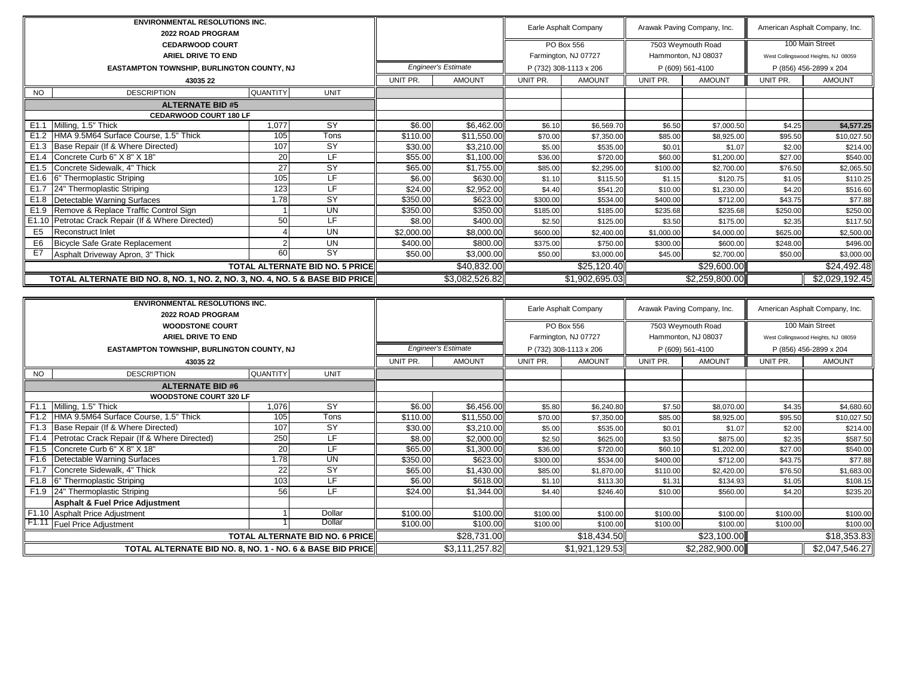| <b>ENVIRONMENTAL RESOLUTIONS INC.</b>                                         |                                 |                                        |                            |                               |                                                | Earle Asphalt Company              |                                         | Arawak Paving Company, Inc.               |                                     | American Asphalt Company, Inc.                        |
|-------------------------------------------------------------------------------|---------------------------------|----------------------------------------|----------------------------|-------------------------------|------------------------------------------------|------------------------------------|-----------------------------------------|-------------------------------------------|-------------------------------------|-------------------------------------------------------|
| 2022 ROAD PROGRAM                                                             |                                 |                                        |                            |                               |                                                |                                    |                                         |                                           |                                     | 100 Main Street                                       |
| <b>CEDARWOOD COURT</b><br><b>ARIEL DRIVE TO END</b>                           |                                 |                                        |                            |                               |                                                | PO Box 556<br>Farmington, NJ 07727 |                                         | 7503 Weymouth Road<br>Hammonton, NJ 08037 |                                     | West Collingswood Heights, NJ 08059                   |
| EASTAMPTON TOWNSHIP, BURLINGTON COUNTY, NJ                                    |                                 |                                        |                            | <b>Engineer's Estimate</b>    |                                                | P (732) 308-1113 x 206             |                                         | P (609) 561-4100                          |                                     | P (856) 456-2899 x 204                                |
| 43035 22                                                                      |                                 |                                        | UNIT PR.                   | <b>AMOUNT</b>                 | UNIT PR.                                       | <b>AMOUNT</b>                      | UNIT PR.                                | <b>AMOUNT</b>                             | UNIT PR.                            | <b>AMOUNT</b>                                         |
| <b>DESCRIPTION</b><br><b>NO</b>                                               | QUANTITY                        | <b>UNIT</b>                            |                            |                               |                                                |                                    |                                         |                                           |                                     |                                                       |
| <b>ALTERNATE BID #5</b>                                                       |                                 |                                        |                            |                               |                                                |                                    |                                         |                                           |                                     |                                                       |
| CEDARWOOD COURT 180 LF                                                        |                                 |                                        |                            |                               |                                                |                                    |                                         |                                           |                                     |                                                       |
| Milling, 1.5" Thick<br>E1.1                                                   | 1,077                           | $\overline{SY}$                        | \$6.00                     | \$6,462.00                    | \$6.10                                         | \$6,569.70                         | \$6.50                                  | \$7,000.50                                | \$4.25                              | \$4,577.25                                            |
| HMA 9.5M64 Surface Course, 1.5" Thick<br>E <sub>1.2</sub>                     | 105                             | Tons                                   | \$110.00                   | \$11,550.00                   | \$70.00                                        | \$7,350.00                         | \$85.00                                 | \$8,925.00                                | \$95.50                             | \$10,027.50                                           |
| E1.3<br>Base Repair (If & Where Directed)                                     | 107                             | $\overline{SY}$                        | \$30.00                    | \$3,210.00                    | \$5.00                                         | \$535.00                           | \$0.01                                  | \$1.07                                    | \$2.00                              | \$214.00                                              |
| Concrete Curb 6" X 8" X 18"<br>E1.4                                           | 20                              | $\overline{\mathsf{LF}}$               | \$55.00                    | \$1,100.00                    | \$36.00                                        | \$720.00                           | \$60.00                                 | \$1,200.00                                | \$27.00                             | \$540.00                                              |
| E1.5<br>Concrete Sidewalk, 4" Thick                                           | $\overline{27}$                 | $\overline{SY}$                        | \$65.00                    | \$1,755.00                    | \$85.00                                        | \$2,295.00                         | \$100.00                                | \$2,700.00                                | \$76.50                             | \$2,065.50                                            |
| E1.6<br>6" Thermoplastic Striping                                             | 105                             | ΙF                                     | \$6.00                     | \$630.00                      | \$1.10                                         | \$115.50                           | \$1.15                                  | \$120.75                                  | \$1.05                              | \$110.25                                              |
| 24" Thermoplastic Striping<br>E1.7                                            | 123                             | LF                                     | \$24.00                    | \$2,952.00                    | \$4.40                                         | \$541.20                           | \$10.00                                 | \$1,230.00                                | \$4.20                              | \$516.60                                              |
| E1.8<br>Detectable Warning Surfaces                                           | 1.78                            | <b>SY</b>                              | \$350.00                   | \$623.00                      | \$300.00                                       | \$534.00                           | \$400.00                                | \$712.00                                  | \$43.75                             | \$77.88                                               |
| E1.9<br>Remove & Replace Traffic Control Sign                                 |                                 | UN                                     | \$350.00                   | \$350.00                      | \$185.00                                       | \$185.00                           | \$235.68                                | \$235.68                                  | \$250.00                            | \$250.00                                              |
| E1.10<br>Petrotac Crack Repair (If & Where Directed)                          | 50                              | $\overline{\mathsf{LF}}$               | \$8.00                     | \$400.00                      | \$2.50                                         | \$125.00                           | \$3.50                                  | \$175.00                                  | \$2.35                              | \$117.50                                              |
| E <sub>5</sub><br>Reconstruct Inlet                                           | $\boldsymbol{\Delta}$           | $\overline{\mathsf{UN}}$               | \$2,000.00                 | \$8,000.00                    | \$600.00                                       | \$2,400.00                         | \$1,000.00                              | \$4,000.00                                | \$625.00                            | \$2,500.00                                            |
| E <sub>6</sub><br><b>Bicycle Safe Grate Replacement</b>                       | $\mathcal{P}$                   | <b>UN</b>                              | \$400.00                   | \$800.00                      | \$375.00                                       | \$750.00                           | \$300.00                                | \$600.00                                  | \$248.00                            | \$496.00                                              |
| E7<br>Asphalt Driveway Apron, 3" Thick                                        | 60                              | <b>SY</b>                              | \$50.00                    | \$3,000.00                    | \$50.00                                        | \$3,000.00                         | \$45.00                                 | \$2,700.00                                | \$50.00                             | \$3,000.00                                            |
|                                                                               | TOTAL ALTERNATE BID NO. 5 PRICE |                                        | \$40,832.00                |                               | \$25,120.40                                    |                                    | \$29,600.00                             |                                           | \$24,492.48                         |                                                       |
| TOTAL ALTERNATE BID NO. 8, NO. 1, NO. 2, NO. 3, NO. 4, NO. 5 & BASE BID PRICE |                                 |                                        |                            | \$3,082,526.82                |                                                | \$1,902,695.03                     |                                         | \$2,259,800.00                            |                                     | \$2,029,192.45                                        |
|                                                                               |                                 |                                        |                            |                               |                                                |                                    |                                         |                                           |                                     |                                                       |
| <b>ENVIRONMENTAL RESOLUTIONS INC.</b><br>2022 ROAD PROGRAM                    |                                 |                                        |                            |                               |                                                | Earle Asphalt Company              |                                         | Arawak Paving Company, Inc.               |                                     | American Asphalt Company, Inc.                        |
| <b>WOODSTONE COURT</b>                                                        |                                 |                                        |                            |                               |                                                | <b>PO Box 556</b>                  |                                         | 7503 Weymouth Road                        |                                     | 100 Main Street                                       |
| ARIEL DRIVE TO END                                                            |                                 |                                        |                            |                               |                                                |                                    |                                         |                                           |                                     |                                                       |
|                                                                               |                                 |                                        | <b>Engineer's Estimate</b> |                               | Farmington, NJ 07727<br>P (732) 308-1113 x 206 |                                    | Hammonton, NJ 08037<br>P (609) 561-4100 |                                           | West Collingswood Heights, NJ 08059 |                                                       |
| EASTAMPTON TOWNSHIP, BURLINGTON COUNTY, NJ<br>43035 22                        |                                 |                                        | UNIT PR.                   | <b>AMOUNT</b>                 | UNIT PR.                                       | <b>AMOUNT</b>                      | UNIT PR.                                | <b>AMOUNT</b>                             | UNIT PR.                            | P (856) 456-2899 x 204<br><b>AMOUNT</b>               |
| <b>DESCRIPTION</b><br><b>NO</b>                                               | <b>QUANTITY</b>                 | <b>UNIT</b>                            |                            |                               |                                                |                                    |                                         |                                           |                                     |                                                       |
| <b>ALTERNATE BID #6</b>                                                       |                                 |                                        |                            |                               |                                                |                                    |                                         |                                           |                                     |                                                       |
| WOODSTONE COURT 320 LF                                                        |                                 |                                        |                            |                               |                                                |                                    |                                         |                                           |                                     |                                                       |
| F1.1<br>Milling, 1.5" Thick                                                   | 1,076                           | $\overline{SY}$                        | \$6.00                     | \$6,456.00                    | \$5.80                                         | \$6,240.80                         | \$7.50                                  | \$8,070.00                                | \$4.35                              | \$4,680.60                                            |
| HMA 9.5M64 Surface Course, 1.5" Thick<br>F <sub>1.2</sub>                     | 105                             | Tons                                   | \$110.00                   | \$11,550.00                   | \$70.00                                        | \$7,350.00                         | \$85.00                                 | \$8,925.00                                | \$95.50                             | \$10,027.50                                           |
| F1.3<br>Base Repair (If & Where Directed)                                     | 107                             | $\overline{SY}$                        | \$30.00                    | \$3,210.00                    | \$5.00                                         | \$535.00                           | \$0.01                                  | \$1.07                                    | \$2.00                              | \$214.00                                              |
| Petrotac Crack Repair (If & Where Directed)<br>F1.4                           | 250                             | $\overline{\mathsf{LF}}$               | \$8.00                     | \$2,000.00                    | \$2.50                                         | \$625.00                           | \$3.50                                  | \$875.00                                  | \$2.35                              | \$587.50                                              |
| F1.5<br>Concrete Curb 6" X 8" X 18"                                           | 20                              | LF                                     | \$65.00                    | \$1,300.00                    | \$36.00                                        | \$720.00                           | \$60.10                                 | \$1,202.00                                | \$27.00                             | \$540.00                                              |
| F <sub>1.6</sub><br>Detectable Warning Surfaces                               | 1.78                            | <b>UN</b>                              | \$350.00                   | \$623.00                      | \$300.00                                       | \$534.00                           | \$400.00                                | \$712.00                                  | \$43.75                             | \$77.88                                               |
| F1.7<br>Concrete Sidewalk, 4" Thick                                           | 22                              | <b>SY</b>                              | \$65.00                    | \$1,430.00                    | \$85.00                                        | \$1,870.00                         | \$110.00                                | \$2,420.00                                | \$76.50                             | \$1,683.00                                            |
| F <sub>1.8</sub><br>6" Thermoplastic Striping                                 | 103                             | ΙF                                     | \$6.00                     | \$618.00                      | \$1.10                                         | \$113.30                           | \$1.31                                  | \$134.93                                  | \$1.05                              | \$108.15                                              |
| F <sub>1.9</sub><br>24" Thermoplastic Striping                                | 56                              | ΙF                                     | \$24.00                    | \$1,344.00                    | \$4.40                                         | \$246.40                           | \$10.00                                 | \$560.00                                  | \$4.20                              | \$235.20                                              |
|                                                                               |                                 |                                        |                            |                               |                                                |                                    |                                         |                                           |                                     |                                                       |
| <b>Asphalt &amp; Fuel Price Adjustment</b>                                    |                                 |                                        |                            |                               |                                                |                                    |                                         |                                           |                                     |                                                       |
| F1.10<br>Asphalt Price Adjustment                                             |                                 | Dollar                                 | \$100.00                   | \$100.00                      | \$100.00                                       | \$100.00                           | \$100.00                                | \$100.00                                  | \$100.00                            |                                                       |
| F1.11 Fuel Price Adjustment                                                   |                                 | Dollar                                 | \$100.00                   | \$100.00                      | \$100.00                                       | \$100.00                           | \$100.00                                | \$100.00                                  | \$100.00                            |                                                       |
|                                                                               |                                 | <b>TOTAL ALTERNATE BID NO. 6 PRICE</b> |                            | \$28,731.00<br>\$3,111,257.82 |                                                | \$18,434.50<br>\$1,921,129.53      |                                         | \$23,100.00<br>\$2,282,900.00             |                                     | \$100.00<br>\$100.00<br>\$18,353.83<br>\$2,047,546.27 |